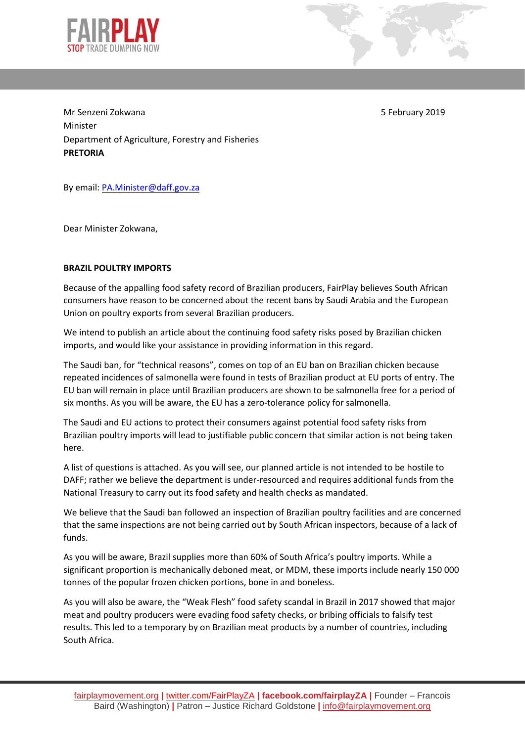

Mr Senzeni Zokwana 5 February 2019 Minister Department of Agriculture, Forestry and Fisheries **PRETORIA** 

By email[: PA.Minister@daff.gov.za](mailto:PA.Minister@daff.gov.za)

Dear Minister Zokwana,

## **BRAZIL POULTRY IMPORTS**

Because of the appalling food safety record of Brazilian producers, FairPlay believes South African consumers have reason to be concerned about the recent bans by Saudi Arabia and the European Union on poultry exports from several Brazilian producers.

We intend to publish an article about the continuing food safety risks posed by Brazilian chicken imports, and would like your assistance in providing information in this regard.

The Saudi ban, for "technical reasons", comes on top of an EU ban on Brazilian chicken because repeated incidences of salmonella were found in tests of Brazilian product at EU ports of entry. The EU ban will remain in place until Brazilian producers are shown to be salmonella free for a period of six months. As you will be aware, the EU has a zero-tolerance policy for salmonella.

The Saudi and EU actions to protect their consumers against potential food safety risks from Brazilian poultry imports will lead to justifiable public concern that similar action is not being taken here.

A list of questions is attached. As you will see, our planned article is not intended to be hostile to DAFF; rather we believe the department is under-resourced and requires additional funds from the National Treasury to carry out its food safety and health checks as mandated.

We believe that the Saudi ban followed an inspection of Brazilian poultry facilities and are concerned that the same inspections are not being carried out by South African inspectors, because of a lack of funds.

As you will be aware, Brazil supplies more than 60% of South Africa's poultry imports. While a significant proportion is mechanically deboned meat, or MDM, these imports include nearly 150 000 tonnes of the popular frozen chicken portions, bone in and boneless.

As you will also be aware, the "Weak Flesh" food safety scandal in Brazil in 2017 showed that major meat and poultry producers were evading food safety checks, or bribing officials to falsify test results. This led to a temporary by on Brazilian meat products by a number of countries, including South Africa.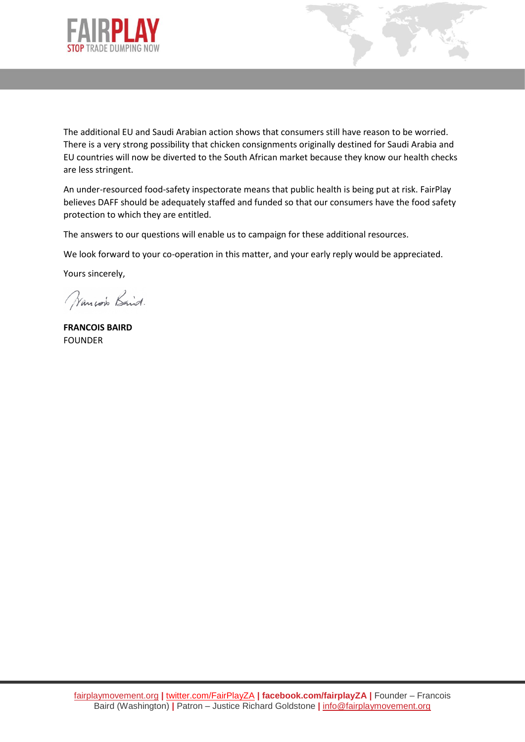



The additional EU and Saudi Arabian action shows that consumers still have reason to be worried. There is a very strong possibility that chicken consignments originally destined for Saudi Arabia and EU countries will now be diverted to the South African market because they know our health checks are less stringent.

An under-resourced food-safety inspectorate means that public health is being put at risk. FairPlay believes DAFF should be adequately staffed and funded so that our consumers have the food safety protection to which they are entitled.

The answers to our questions will enable us to campaign for these additional resources.

We look forward to your co-operation in this matter, and your early reply would be appreciated.

Yours sincerely,

Wancow Baid.

**FRANCOIS BAIRD** FOUNDER